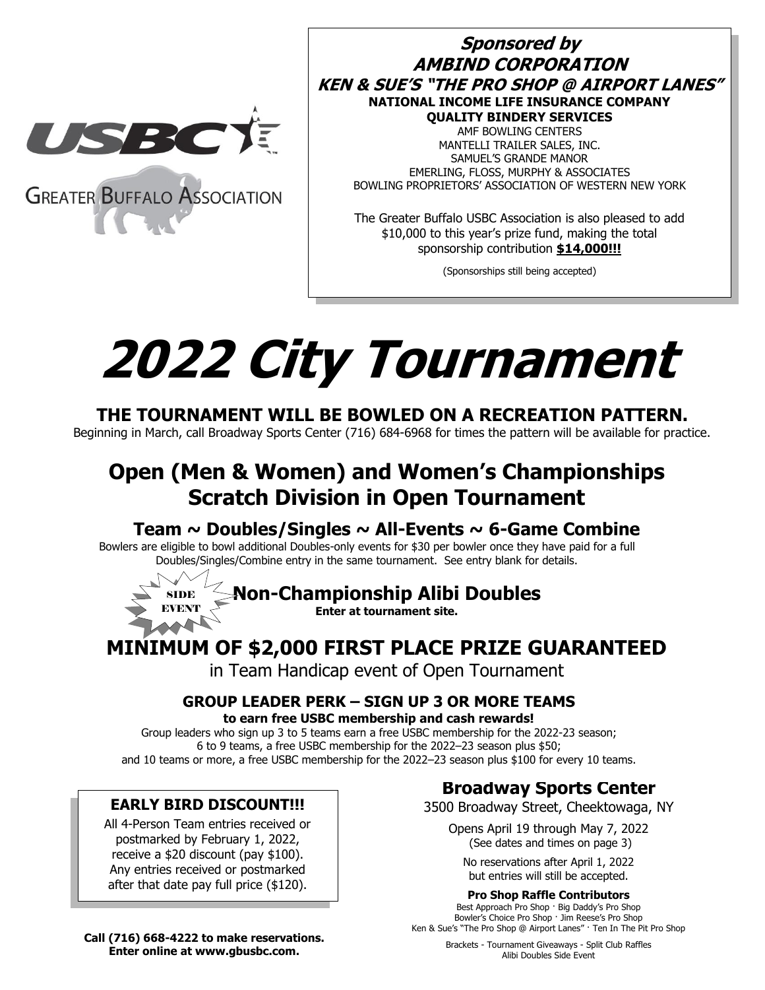

**Sponsored by AMBIND CORPORATION KEN & SUE'S "THE PRO SHOP @ AIRPORT LANES" NATIONAL INCOME LIFE INSURANCE COMPANY QUALITY BINDERY SERVICES** AMF BOWLING CENTERS MANTELLI TRAILER SALES, INC. SAMUEL'S GRANDE MANOR EMERLING, FLOSS, MURPHY & ASSOCIATES BOWLING PROPRIETORS' ASSOCIATION OF WESTERN NEW YORK

\$10,000 to this year's prize fund, making the total<br> **ALCOLUM** The Greater Buffalo USBC Association is also pleased to add sponsorship contribution **\$14,000!!!**

(Sponsorships still being accepted)

# **2022 City Tournament**

# **THE TOURNAMENT WILL BE BOWLED ON A RECREATION PATTERN.**

Beginning in March, call Broadway Sports Center (716) 684-6968 for times the pattern will be available for practice.

# **Open (Men & Women) and Women's Championships Scratch Division in Open Tournament**

# **Team ~ Doubles/Singles ~ All-Events ~ 6-Game Combine**

Bowlers are eligible to bowl additional Doubles-only events for \$30 per bowler once they have paid for a full Doubles/Singles/Combine entry in the same tournament. See entry blank for details.

**Non-Championship Alibi Doubles**

**Enter at tournament site.**

# **MINIMUM OF \$2,000 FIRST PLACE PRIZE GUARANTEED**

in Team Handicap event of Open Tournament

### **GROUP LEADER PERK – SIGN UP 3 OR MORE TEAMS to earn free USBC membership and cash rewards!**

Group leaders who sign up 3 to 5 teams earn a free USBC membership for the 2022-23 season; 6 to 9 teams, a free USBC membership for the 2022–23 season plus \$50; and 10 teams or more, a free USBC membership for the 2022–23 season plus \$100 for every 10 teams.

### **EARLY BIRD DISCOUNT!!!**

SIDE EVENT

All 4-Person Team entries received or postmarked by February 1, 2022, receive a \$20 discount (pay \$100). Any entries received or postmarked after that date pay full price (\$120).

**Broadway Sports Center**

3500 Broadway Street, Cheektowaga, NY

Opens April 19 through May 7, 2022 (See dates and times on page 3)

No reservations after April 1, 2022 but entries will still be accepted.

#### **Pro Shop Raffle Contributors**

Best Approach Pro Shop · Big Daddy's Pro Shop Bowler's Choice Pro Shop · Jim Reese's Pro Shop Ken & Sue's "The Pro Shop @ Airport Lanes" · Ten In The Pit Pro Shop

**Call (716) 668-4222 to make reservations. Enter online at www.gbusbc.com.**

Brackets - Tournament Giveaways - Split Club Raffles Alibi Doubles Side Event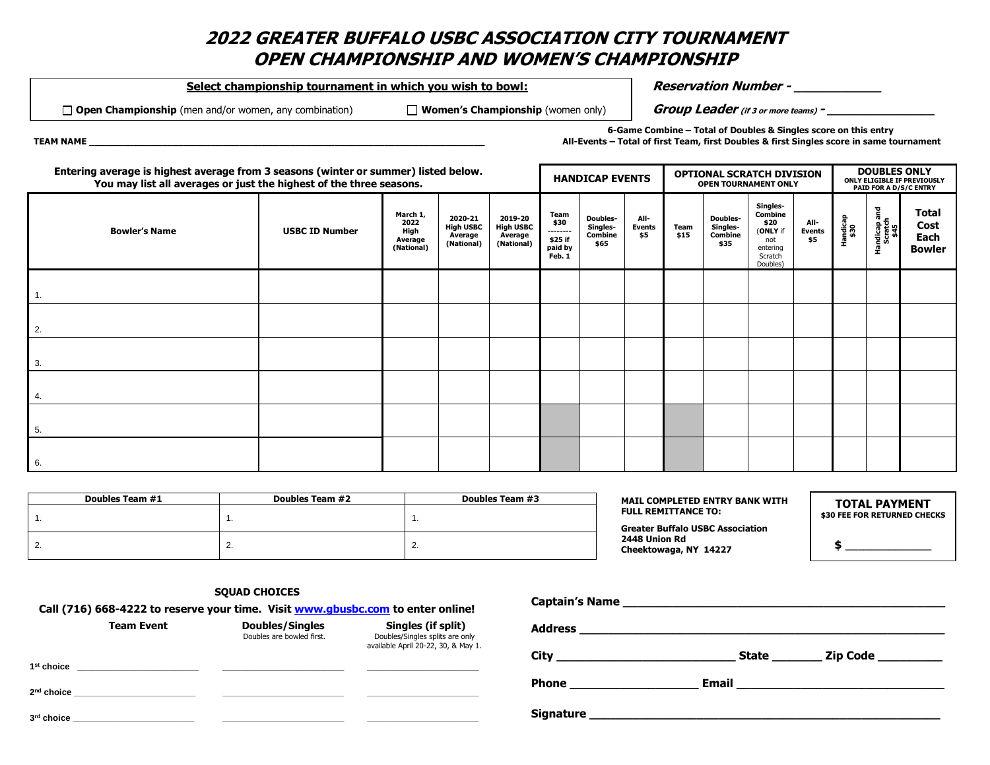### **2022 GREATER BUFFALO USBC ASSOCIATION CITY TOURNAMENT OPEN CHAMPIONSHIP AND WOMEN'S CHAMPIONSHIP**

Select championship tournament in which you wish to bowl: **Reservation Number - Reservation** Number -

**Open Championship** (men and/or women, any combination) **Women's Championship** (women only) **Group Leader (if 3 or more teams) - \_\_\_\_\_\_\_\_\_\_\_\_\_\_\_**

**6-Game Combine – Total of Doubles & Singles score on this entry TEAM NAME \_\_\_\_\_\_\_\_\_\_\_\_\_\_\_\_\_\_\_\_\_\_\_\_\_\_\_\_\_\_\_\_\_\_\_\_\_\_\_\_\_\_\_\_\_\_\_\_\_\_\_\_\_\_\_\_\_\_\_\_\_\_\_\_\_\_\_\_\_\_\_ All-Events – Total of first Team, first Doubles & first Singles score in same tournament**

| Entering average is highest average from 3 seasons (winter or summer) listed below.<br>You may list all averages or just the highest of the three seasons. |                       |                                                   |                                                      |                                                      | <b>HANDICAP EVENTS</b>                                   |                                         | <b>OPTIONAL SCRATCH DIVISION</b><br><b>OPEN TOURNAMENT ONLY</b> |              |                                                | <b>DOUBLES ONLY</b><br>ONLY ELIGIBLE IF PREVIOUSLY<br>PAID FOR A D/S/C ENTRY      |                              |                 |                                 |                                        |
|------------------------------------------------------------------------------------------------------------------------------------------------------------|-----------------------|---------------------------------------------------|------------------------------------------------------|------------------------------------------------------|----------------------------------------------------------|-----------------------------------------|-----------------------------------------------------------------|--------------|------------------------------------------------|-----------------------------------------------------------------------------------|------------------------------|-----------------|---------------------------------|----------------------------------------|
| <b>Bowler's Name</b>                                                                                                                                       | <b>USBC ID Number</b> | March 1,<br>2022<br>High<br>Average<br>(National) | 2020-21<br><b>High USBC</b><br>Average<br>(National) | 2019-20<br><b>High USBC</b><br>Average<br>(National) | Team<br>\$30<br>--------<br>\$25 if<br>paid by<br>Feb. 1 | Doubles-<br>Singles-<br>Combine<br>\$65 | All-<br><b>Events</b><br>\$5                                    | Team<br>\$15 | <b>Doubles-</b><br>Singles-<br>Combine<br>\$35 | Singles-<br>Combine<br>\$20<br>(ONLY if<br>not<br>entering<br>Scratch<br>Doubles) | All-<br><b>Events</b><br>\$5 | andicap<br>\$30 | Handicap and<br>Scratch<br>\$45 | Total<br>Cost<br>Each<br><b>Bowler</b> |
|                                                                                                                                                            |                       |                                                   |                                                      |                                                      |                                                          |                                         |                                                                 |              |                                                |                                                                                   |                              |                 |                                 |                                        |
| $\overline{2}$ .                                                                                                                                           |                       |                                                   |                                                      |                                                      |                                                          |                                         |                                                                 |              |                                                |                                                                                   |                              |                 |                                 |                                        |
| $\overline{\phantom{a}}$ 3.                                                                                                                                |                       |                                                   |                                                      |                                                      |                                                          |                                         |                                                                 |              |                                                |                                                                                   |                              |                 |                                 |                                        |
| $\overline{4}$ .                                                                                                                                           |                       |                                                   |                                                      |                                                      |                                                          |                                         |                                                                 |              |                                                |                                                                                   |                              |                 |                                 |                                        |
| 5.                                                                                                                                                         |                       |                                                   |                                                      |                                                      |                                                          |                                         |                                                                 |              |                                                |                                                                                   |                              |                 |                                 |                                        |
| 6.                                                                                                                                                         |                       |                                                   |                                                      |                                                      |                                                          |                                         |                                                                 |              |                                                |                                                                                   |                              |                 |                                 |                                        |

| Doubles Team #1 | Doubles Team #2 | Doubles Team #3 | <b>MAIL COMPLETED ENTRY BANK WITH</b>   | <b>TOTAL PAYMENT</b>         |  |
|-----------------|-----------------|-----------------|-----------------------------------------|------------------------------|--|
|                 |                 |                 | <b>FULL REMITTANCE TO:</b>              | \$30 FEE FOR RETURNED CHECKS |  |
|                 |                 |                 | <b>Greater Buffalo USBC Association</b> |                              |  |
| <u>.</u>        | <u>.</u>        | <u>.</u>        | 2448 Union Rd<br>Cheektowaga, NY 14227  |                              |  |

**SQUAD CHOICES**

| Call (716) 668-4222 to reserve your time. Visit www.gbusbc.com to enter online! |                   |                                                           | Captain Strainc                                                                              |                  |              |                       |
|---------------------------------------------------------------------------------|-------------------|-----------------------------------------------------------|----------------------------------------------------------------------------------------------|------------------|--------------|-----------------------|
|                                                                                 | <b>Team Event</b> | <b>Doubles/Singles</b><br>Doubles are bowled first.       | Singles (if split)<br>Doubles/Singles splits are only<br>available April 20-22, 30, & May 1. | <b>Address</b>   |              |                       |
| 1 <sup>st</sup> choice                                                          |                   | <u> 1980 - John Stone, Amerikaansk politiker (* 1980)</u> |                                                                                              | City             | <b>State</b> | _ Zip Code __________ |
| 2 <sup>nd</sup> choice                                                          |                   |                                                           |                                                                                              | Phone            | Email        |                       |
| 3rd choice                                                                      |                   |                                                           |                                                                                              | <b>Signature</b> |              |                       |

**Captain's Name \_\_\_\_\_\_\_\_\_\_\_\_\_\_\_\_\_\_\_\_\_\_\_\_\_\_\_\_\_\_\_\_\_\_\_\_\_\_\_\_\_\_\_\_\_**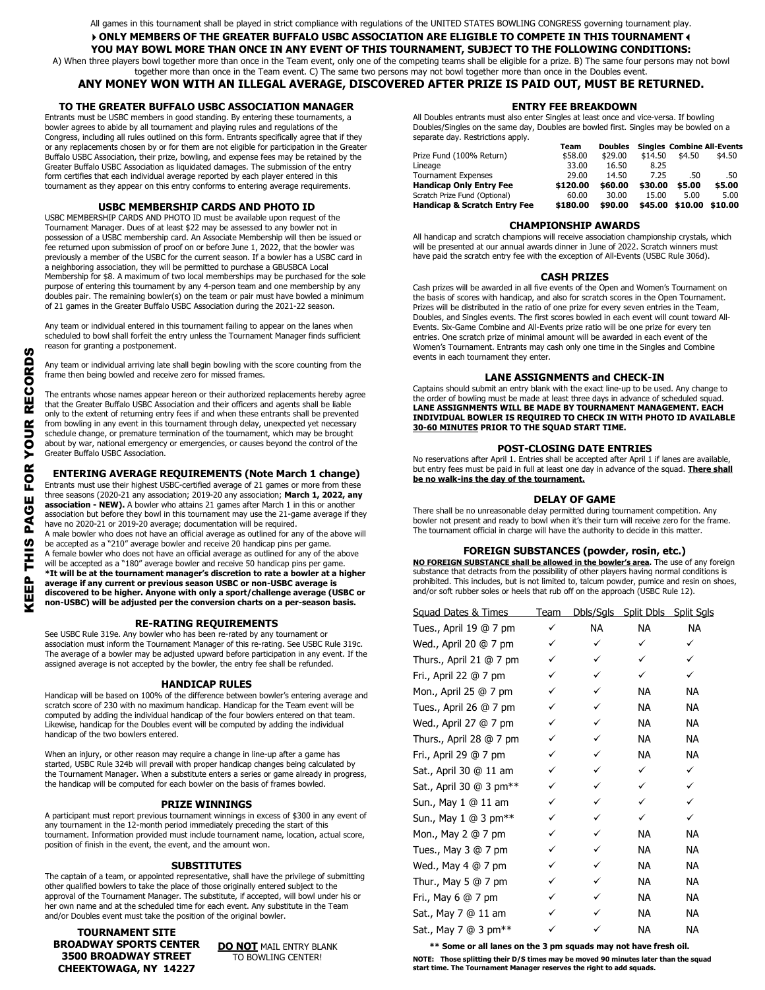All games in this tournament shall be played in strict compliance with regulations of the UNITED STATES BOWLING CONGRESS governing tournament play.

#### **ONLY MEMBERS OF THE GREATER BUFFALO USBC ASSOCIATION ARE ELIGIBLE TO COMPETE IN THIS TOURNAMENT YOU MAY BOWL MORE THAN ONCE IN ANY EVENT OF THIS TOURNAMENT, SUBJECT TO THE FOLLOWING CONDITIONS:**

A) When three players bowl together more than once in the Team event, only one of the competing teams shall be eligible for a prize. B) The same four persons may not bowl together more than once in the Team event. C) The same two persons may not bowl together more than once in the Doubles event.

#### **ANY MONEY WON WITH AN ILLEGAL AVERAGE, DISCOVERED AFTER PRIZE IS PAID OUT, MUST BE RETURNED.**

#### **TO THE GREATER BUFFALO USBC ASSOCIATION MANAGER**

Entrants must be USBC members in good standing. By entering these tournaments, a bowler agrees to abide by all tournament and playing rules and regulations of the Congress, including all rules outlined on this form. Entrants specifically agree that if they or any replacements chosen by or for them are not eligible for participation in the Greater Buffalo USBC Association, their prize, bowling, and expense fees may be retained by the Greater Buffalo USBC Association as liquidated damages. The submission of the entry form certifies that each individual average reported by each player entered in this tournament as they appear on this entry conforms to entering average requirements.

#### **USBC MEMBERSHIP CARDS AND PHOTO ID**

USBC MEMBERSHIP CARDS AND PHOTO ID must be available upon request of the Tournament Manager. Dues of at least \$22 may be assessed to any bowler not in possession of a USBC membership card. An Associate Membership will then be issued or fee returned upon submission of proof on or before June 1, 2022, that the bowler was previously a member of the USBC for the current season. If a bowler has a USBC card in a neighboring association, they will be permitted to purchase a GBUSBCA Local Membership for \$8. A maximum of two local memberships may be purchased for the sole purpose of entering this tournament by any 4-person team and one membership by any doubles pair. The remaining bowler(s) on the team or pair must have bowled a minimum of 21 games in the Greater Buffalo USBC Association during the 2021-22 season.

Any team or individual entered in this tournament failing to appear on the lanes when scheduled to bowl shall forfeit the entry unless the Tournament Manager finds sufficient reason for granting a postponement.

Any team or individual arriving late shall begin bowling with the score counting from the frame then being bowled and receive zero for missed frames.

The entrants whose names appear hereon or their authorized replacements hereby agree that the Greater Buffalo USBC Association and their officers and agents shall be liable only to the extent of returning entry fees if and when these entrants shall be prevented from bowling in any event in this tournament through delay, unexpected yet necessary schedule change, or premature termination of the tournament, which may be brought about by war, national emergency or emergencies, or causes beyond the control of the Greater Buffalo USBC Association.

**ENTERING AVERAGE REQUIREMENTS (Note March 1 change)**<br>trants must use their highest USBC-certified average of 21 games or more from these<br>ree seasons (2020-21 any association; 2019-20 any association; March 1, 2022, any Entrants must use their highest USBC-certified average of 21 games or more from these three seasons (2020-21 any association; 2019-20 any association; **March 1, 2022, any association - NEW).** A bowler who attains 21 games after March 1 in this or another association but before they bowl in this tournament may use the 21-game average if they have no 2020-21 or 2019-20 average; documentation will be required. A male bowler who does not have an official average as outlined for any of the above will be accepted as a "210" average bowler and receive 20 handicap pins per game. A female bowler who does not have an official average as outlined for any of the above will be accepted as a "180" average bowler and receive 50 handicap pins per game. **\*It will be at the tournament manager's discretion to rate a bowler at a higher average if any current or previous season USBC or non-USBC average is discovered to be higher. Anyone with only a sport/challenge average (USBC or non-USBC) will be adjusted per the conversion charts on a per-season basis.**

#### **RE-RATING REQUIREMENTS**

See USBC Rule 319e. Any bowler who has been re-rated by any tournament or association must inform the Tournament Manager of this re-rating. See USBC Rule 319c. The average of a bowler may be adjusted upward before participation in any event. If the assigned average is not accepted by the bowler, the entry fee shall be refunded.

#### **HANDICAP RULES**

Handicap will be based on 100% of the difference between bowler's entering average and scratch score of 230 with no maximum handicap. Handicap for the Team event will be computed by adding the individual handicap of the four bowlers entered on that team. Likewise, handicap for the Doubles event will be computed by adding the individual handicap of the two bowlers entered.

When an injury, or other reason may require a change in line-up after a game has started, USBC Rule 324b will prevail with proper handicap changes being calculated by the Tournament Manager. When a substitute enters a series or game already in progress, the handicap will be computed for each bowler on the basis of frames bowled.

#### **PRIZE WINNINGS**

A participant must report previous tournament winnings in excess of \$300 in any event of any tournament in the 12-month period immediately preceding the start of this tournament. Information provided must include tournament name, location, actual score, position of finish in the event, the event, and the amount won. f \$300<br>start o<br>priviled

#### **SUBSTITUTES**

The captain of a team, or appointed representative, shall have the privilege of submitting other qualified bowlers to take the place of those originally entered subject to the approval of the Tournament Manager. The substitute, if accepted, will bowl under his or her own name and at the scheduled time for each event. Any substitute in the Team and/or Doubles event must take the position of the original bowler.

**TOURNAMENT SITE BROADWAY SPORTS CENTER 3500 BROADWAY STREET CHEEKTOWAGA, NY 14227**

**DO NOT MAIL ENTRY BLANK** TO BOWLING CENTER!

#### **ENTRY FEE BREAKDOWN**

All Doubles entrants must also enter Singles at least once and vice-versa. If bowling Doubles/Singles on the same day, Doubles are bowled first. Singles may be bowled on a separate day. Restrictions apply.

|                                         | Team     | <b>Doubles</b> |         | <b>Singles Combine All-Events</b> |         |
|-----------------------------------------|----------|----------------|---------|-----------------------------------|---------|
| Prize Fund (100% Return)                | \$58.00  | \$29.00        | \$14.50 | \$4.50                            | \$4.50  |
| Lineage                                 | 33.00    | 16.50          | 8.25    |                                   |         |
| <b>Tournament Expenses</b>              | 29.00    | 14.50          | 7.25    | .50                               | .50     |
| <b>Handicap Only Entry Fee</b>          | \$120.00 | \$60.00        | \$30.00 | \$5.00                            | \$5.00  |
| Scratch Prize Fund (Optional)           | 60.00    | 30.00          | 15.00   | 5.00                              | 5.00    |
| <b>Handicap &amp; Scratch Entry Fee</b> | \$180.00 | \$90.00        | \$45.00 | \$10.00                           | \$10.00 |

#### **CHAMPIONSHIP AWARDS**

All handicap and scratch champions will receive association championship crystals, which will be presented at our annual awards dinner in June of 2022. Scratch winners must have paid the scratch entry fee with the exception of All-Events (USBC Rule 306d).

#### **CASH PRIZES**

Cash prizes will be awarded in all five events of the Open and Women's Tournament on the basis of scores with handicap, and also for scratch scores in the Open Tournament. Prizes will be distributed in the ratio of one prize for every seven entries in the Team, Doubles, and Singles events. The first scores bowled in each event will count toward All-Events. Six-Game Combine and All-Events prize ratio will be one prize for every ten entries. One scratch prize of minimal amount will be awarded in each event of the Women's Tournament. Entrants may cash only one time in the Singles and Combine events in each tournament they enter.

#### **LANE ASSIGNMENTS and CHECK-IN**

Captains should submit an entry blank with the exact line-up to be used. Any change to the order of bowling must be made at least three days in advance of scheduled squad. **LANE ASSIGNMENTS WILL BE MADE BY TOURNAMENT MANAGEMENT. EACH INDIVIDUAL BOWLER IS REQUIRED TO CHECK IN WITH PHOTO ID AVAILABLE 30-60 MINUTES PRIOR TO THE SQUAD START TIME.**

#### **POST-CLOSING DATE ENTRIES**

No reservations after April 1. Entries shall be accepted after April 1 if lanes are available, but entry fees must be paid in full at least one day in advance of the squad. **There shall be no walk-ins the day of the tournament.**

#### **DELAY OF GAME**

There shall be no unreasonable delay permitted during tournament competition. Any bowler not present and ready to bowl when it's their turn will receive zero for the frame. The tournament official in charge will have the authority to decide in this matter.

#### **FOREIGN SUBSTANCES (powder, rosin, etc.)**

**NO FOREIGN SUBSTANCE shall be allowed in the bowler's area.** The use of any foreign substance that detracts from the possibility of other players having normal conditions is prohibited. This includes, but is not limited to, talcum powder, pumice and resin on shoes,<br>and/or soft rubber soles or heels that rub off on the approach (USBC Rule 12).

| Squad Dates & Times        | <b>Team</b>  |     | Dbls/Sqls Split Dbls Split Sqls |           |
|----------------------------|--------------|-----|---------------------------------|-----------|
| Tues., April 19 @ 7 pm     | $\checkmark$ | NA. | NA.                             | <b>NA</b> |
| Wed., April 20 $@$ 7 pm    | ✓            | ✓   | ✓                               | ✓         |
| Thurs., April 21 $@$ 7 pm  | ✓            | ✓   | ✓                               | ✓         |
| Fri., April 22 @ 7 pm      |              | ✓   | ✓                               | ✓         |
| Mon., April 25 @ 7 pm      | ✓            | ✓   | ΝA                              | ΝA        |
| Tues., April 26 $@$ 7 pm   |              | ✓   | NA                              | NA.       |
| Wed., April 27 @ 7 pm      | ✓            | ✓   | NA                              | <b>NA</b> |
| Thurs., April $28@7$ pm    | ✓            | ✓   | NA                              | <b>NA</b> |
| Fri., April 29 @ 7 pm      |              | ✓   | NA                              | <b>NA</b> |
| Sat., April 30 @ 11 am     | ✓            | ✓   | ✓                               | ✓         |
| Sat., April 30 @ 3 pm**    |              | ✓   | ✓                               | ✓         |
| Sun., May 1 @ 11 am        | ✓            | ✓   | ✓                               | ✓         |
| Sun., May 1 @ 3 pm**       | ✓            | ✓   | ✓                               | ✓         |
| Mon., May 2 @ 7 pm         |              | ✓   | NA                              | NA.       |
| Tues., May $3 \oplus 7$ pm | ✓            | ✓   | NA                              | NА        |
| Wed., May $4 \oplus 7$ pm  |              | ✓   | NA                              | NA.       |
| Thur., May 5 $@$ 7 pm      |              | ✓   | NA                              | <b>NA</b> |
| Fri., May $6 \oplus 7$ pm  |              | ✓   | NA                              | NА        |
| Sat., May 7 @ 11 am        |              |     | NA                              | NA.       |
| Sat., May 7 @ 3 pm**       |              |     | ΝA                              | <b>NA</b> |

**\_\_\_\_\_\_\_\_\_\_\_\_\_\_\_\_\_\_\_\_\_\_\_\_\_\_\_\_\_\_\_\_\_\_\_\_\_\_\_\_\_\_\_\_\_\_\_\_\_\_\_\_\_\_\_\_\_\_\_\_\_\_\_\_\_\_\_\_\_\_\_\_\_\_\_\_\_\_\_\_\_\_\_\_ \*\* Some or all lanes on the 3 pm squads may not have fresh oil.**

**NOTE: Those splitting their D/S times may be moved 90 minutes later than the squad start time. The Tournament Manager reserves the right to add squads.**